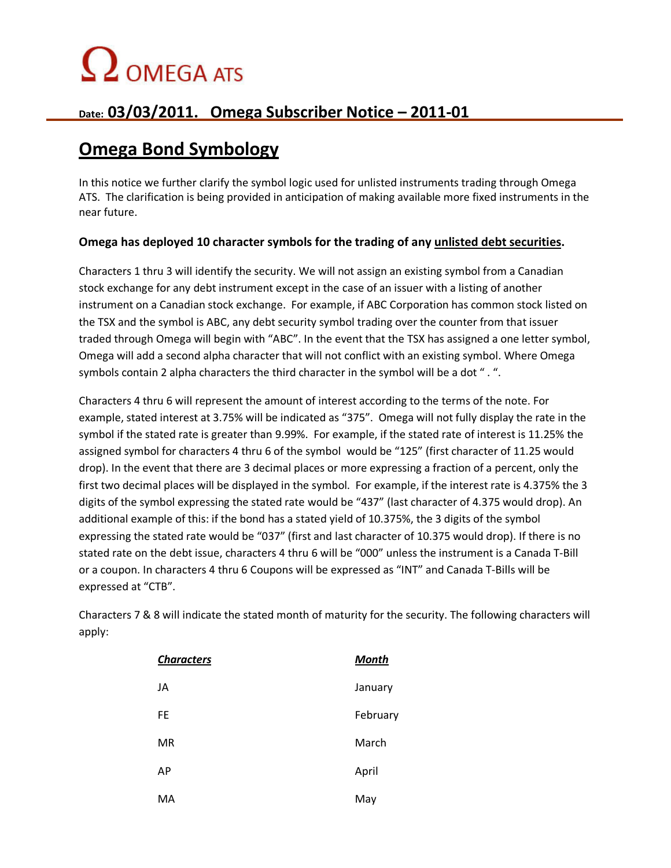## $\Omega$  OMEGA ATS

## **Date: 03/03/2011. Omega Subscriber Notice – 2011-01**

## **Omega Bond Symbology**

In this notice we further clarify the symbol logic used for unlisted instruments trading through Omega ATS. The clarification is being provided in anticipation of making available more fixed instruments in the near future.

### **Omega has deployed 10 character symbols for the trading of any unlisted debt securities.**

Characters 1 thru 3 will identify the security. We will not assign an existing symbol from a Canadian stock exchange for any debt instrument except in the case of an issuer with a listing of another instrument on a Canadian stock exchange. For example, if ABC Corporation has common stock listed on the TSX and the symbol is ABC, any debt security symbol trading over the counter from that issuer traded through Omega will begin with "ABC". In the event that the TSX has assigned a one letter symbol, Omega will add a second alpha character that will not conflict with an existing symbol. Where Omega symbols contain 2 alpha characters the third character in the symbol will be a dot " . ".

Characters 4 thru 6 will represent the amount of interest according to the terms of the note. For example, stated interest at 3.75% will be indicated as "375". Omega will not fully display the rate in the symbol if the stated rate is greater than 9.99%. For example, if the stated rate of interest is 11.25% the assigned symbol for characters 4 thru 6 of the symbol would be "125" (first character of 11.25 would drop). In the event that there are 3 decimal places or more expressing a fraction of a percent, only the first two decimal places will be displayed in the symbol. For example, if the interest rate is 4.375% the 3 digits of the symbol expressing the stated rate would be "437" (last character of 4.375 would drop). An additional example of this: if the bond has a stated yield of 10.375%, the 3 digits of the symbol expressing the stated rate would be "037" (first and last character of 10.375 would drop). If there is no stated rate on the debt issue, characters 4 thru 6 will be "000" unless the instrument is a Canada T-Bill or a coupon. In characters 4 thru 6 Coupons will be expressed as "INT" and Canada T-Bills will be expressed at "CTB".

Characters 7 & 8 will indicate the stated month of maturity for the security. The following characters will apply:

| <b>Characters</b> | <b>Month</b> |
|-------------------|--------------|
| JA                | January      |
| <b>FE</b>         | February     |
| <b>MR</b>         | March        |
| AP                | April        |
| MA                | May          |